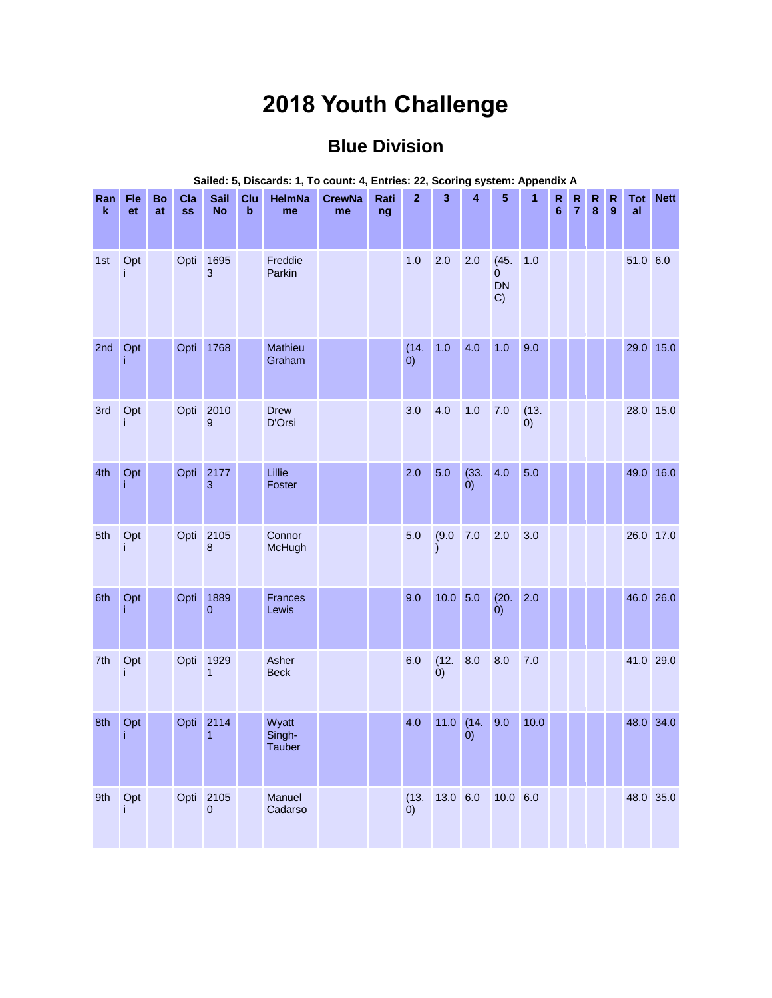## **2018 Youth Challenge**

## **Blue Division**

| Ran<br>$\mathbf k$ | Fle<br>et | Bo<br>at | Cla<br><b>SS</b> | Sail<br><b>No</b>      | Clu<br>$\mathbf b$ | <b>HelmNa</b><br>me              | <b>CrewNa</b><br>me | Rati<br>ng | $\overline{2}$            | 3                 | $\overline{\mathbf{4}}$ | 5                                         | 1                         | $\mathsf{R}$<br>$6\phantom{1}$ | $\mathsf{R}$<br>$\overline{7}$ | R<br>$\bf{8}$ | $\mathsf{R}$<br>$\mathbf{9}$ | Tot<br>al | <b>Nett</b> |
|--------------------|-----------|----------|------------------|------------------------|--------------------|----------------------------------|---------------------|------------|---------------------------|-------------------|-------------------------|-------------------------------------------|---------------------------|--------------------------------|--------------------------------|---------------|------------------------------|-----------|-------------|
| 1st                | Opt<br>i  |          | Opti             | 1695<br>3              |                    | Freddie<br>Parkin                |                     |            | 1.0                       | 2.0               | 2.0                     | (45.<br>$\overline{0}$<br><b>DN</b><br>C) | 1.0                       |                                |                                |               |                              | 51.0 6.0  |             |
| 2nd                | Opt<br>Ť  |          | Opti             | 1768                   |                    | Mathieu<br>Graham                |                     |            | (14.<br>$\dot{0}$         | 1.0               | 4.0                     | 1.0                                       | 9.0                       |                                |                                |               |                              | 29.0 15.0 |             |
| 3rd                | Opt       |          | Opti             | 2010<br>9              |                    | <b>Drew</b><br>D'Orsi            |                     |            | 3.0                       | 4.0               | 1.0                     | 7.0                                       | (13.<br>$\left( 0\right)$ |                                |                                |               |                              | 28.0 15.0 |             |
| 4th                | Opt<br>j  |          | Opti             | 2177<br>3              |                    | Lillie<br>Foster                 |                     |            | 2.0                       | 5.0               | (33.<br>(0)             | 4.0                                       | 5.0                       |                                |                                |               |                              | 49.0 16.0 |             |
| 5th                | Opt       |          |                  | Opti 2105<br>8         |                    | Connor<br>McHugh                 |                     |            | 5.0                       | (9.0)             | 7.0                     | 2.0                                       | 3.0                       |                                |                                |               |                              | 26.0 17.0 |             |
| 6th                | Opt<br>j. |          | Opti             | 1889<br>$\overline{0}$ |                    | <b>Frances</b><br>Lewis          |                     |            | 9.0                       | $10.0$ 5.0        |                         | (20.<br>(0)                               | 2.0                       |                                |                                |               |                              | 46.0 26.0 |             |
| 7th                | Opt<br>i. |          | Opti             | 1929<br>$\mathbf{1}$   |                    | Asher<br><b>Beck</b>             |                     |            | 6.0                       | (12.<br>$\dot{0}$ | 8.0                     | 8.0                                       | 7.0                       |                                |                                |               |                              | 41.0 29.0 |             |
| 8th                | Opt<br>j. |          | Opti             | 2114<br>1              |                    | Wyatt<br>Singh-<br><b>Tauber</b> |                     |            | 4.0                       | $11.0$ (14.       | $\left( 0\right)$       | 9.0                                       | 10.0                      |                                |                                |               |                              | 48.0 34.0 |             |
| 9th                | Opt<br>i  |          | Opti             | 2105<br>$\overline{0}$ |                    | Manuel<br>Cadarso                |                     |            | (13.<br>$\left( 0\right)$ | 13.0 6.0          |                         | $10.0 \ 6.0$                              |                           |                                |                                |               |                              | 48.0 35.0 |             |

**Sailed: 5, Discards: 1, To count: 4, Entries: 22, Scoring system: Appendix A**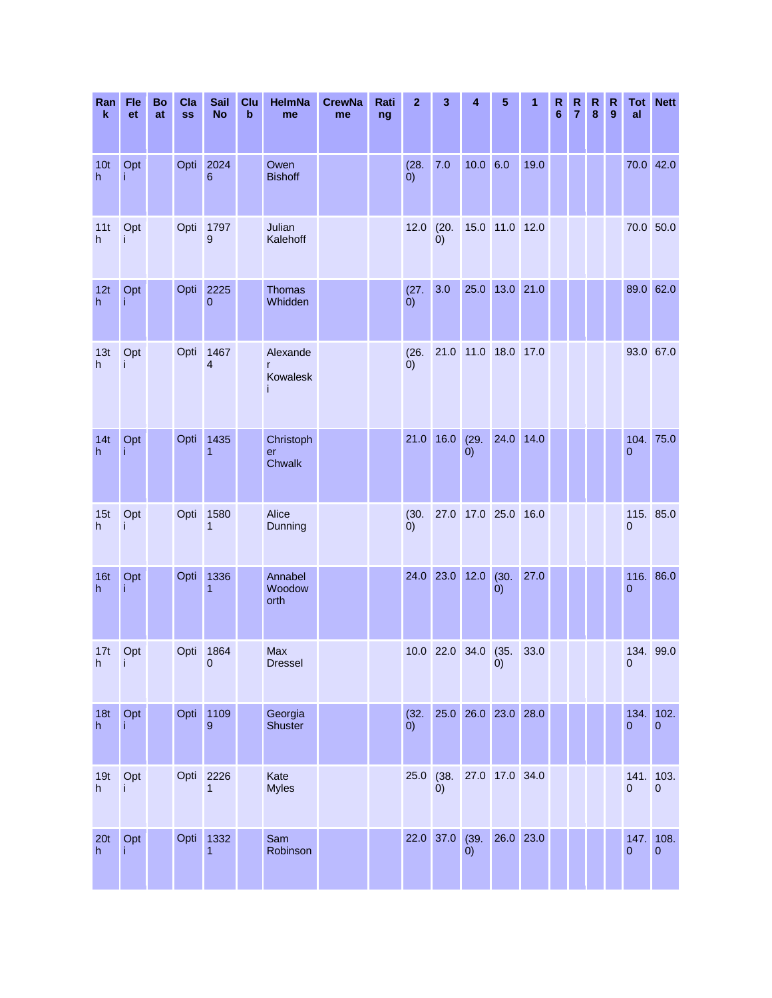| Ran<br>$\pmb{\mathsf{k}}$ | Fle<br>et        | <b>Bo</b><br>at | Cla<br><b>SS</b> | <b>Sail</b><br><b>No</b>        | Clu<br>b | HelmNa<br>me                     | <b>CrewNa</b><br>me | Rati<br>ng | $\mathbf{z}$       | 3              | 4                   | 5              | 1    | R<br>6 | R<br>$\overline{7}$ | R<br>$\bf{8}$ | $\mathsf{R}$<br>9 | Tot<br>al              | <b>Nett</b>                 |
|---------------------------|------------------|-----------------|------------------|---------------------------------|----------|----------------------------------|---------------------|------------|--------------------|----------------|---------------------|----------------|------|--------|---------------------|---------------|-------------------|------------------------|-----------------------------|
| 10 <sub>t</sub><br>h      | Opt<br>i         |                 | Opti             | 2024<br>6                       |          | Owen<br><b>Bishoff</b>           |                     |            | (28.<br>(0)        | $7.0$          | 10.0 6.0            |                | 19.0 |        |                     |               |                   |                        | 70.0 42.0                   |
| 11t<br>h                  | Opt<br>Ť         |                 | Opti             | 1797<br>9                       |          | Julian<br>Kalehoff               |                     |            | 12.0               | (20.<br>0)     |                     | 15.0 11.0 12.0 |      |        |                     |               |                   | 70.0 50.0              |                             |
| 12t<br>h.                 | Opt<br>j         |                 | Opti             | 2225<br>$\mathbf 0$             |          | <b>Thomas</b><br>Whidden         |                     |            | (27.<br>$\ddot{0}$ | 3.0            |                     | 25.0 13.0 21.0 |      |        |                     |               |                   |                        | 89.0 62.0                   |
| 13t<br>h                  | Opt<br>Ť         |                 | Opti             | 1467<br>$\overline{\mathbf{4}}$ |          | Alexande<br>r<br>Kowalesk        |                     |            | (26.<br>(0)        |                | 21.0 11.0 18.0 17.0 |                |      |        |                     |               |                   | 93.0 67.0              |                             |
| 14t<br>h                  | Opt              |                 | Opti             | 1435<br>1                       |          | Christoph<br>er<br><b>Chwalk</b> |                     |            | 21.0               | 16.0           | (29.<br>(0)         | 24.0 14.0      |      |        |                     |               |                   | $\overline{0}$         | 104. 75.0                   |
| 15t<br>h                  | Opt<br>i         |                 | Opti             | 1580<br>1                       |          | Alice<br>Dunning                 |                     |            | (30.<br>(0)        |                | 27.0 17.0 25.0 16.0 |                |      |        |                     |               |                   | $\mathbf 0$            | 115. 85.0                   |
| 16t<br>h                  | Opt<br>Ť         |                 | Opti             | 1336<br>1                       |          | Annabel<br>Woodow<br>orth        |                     |            |                    | 24.0 23.0 12.0 |                     | (30.<br>(0)    | 27.0 |        |                     |               |                   | $\overline{0}$         | 116. 86.0                   |
| 17t<br>h                  | Opt<br><b>ID</b> |                 |                  | Opti 1864<br>$\pmb{0}$          |          | Max<br><b>Dressel</b>            |                     |            |                    |                | 10.0 22.0 34.0 (35. | (0)            | 33.0 |        |                     |               |                   | 134. 99.0<br>$\pmb{0}$ |                             |
| 18t<br>h                  | Opt<br>j         |                 |                  | Opti 1109<br>9                  |          | Georgia<br>Shuster               |                     |            | (32.<br>$\ddot{0}$ |                | 25.0 26.0 23.0 28.0 |                |      |        |                     |               |                   | $\overline{0}$         | 134. 102.<br>$\mathbf{0}$   |
| 19t<br>h                  | Opt<br>j.        |                 | Opti             | 2226<br>1                       |          | Kate<br><b>Myles</b>             |                     |            | 25.0               | (38.<br>(0)    |                     | 27.0 17.0 34.0 |      |        |                     |               |                   | $\overline{0}$         | 141. 103.<br>$\overline{0}$ |
| 20 <sub>t</sub><br>h      | Opt              |                 | Opti             | 1332<br>1                       |          | Sam<br>Robinson                  |                     |            |                    | 22.0 37.0 (39. | $\left( 0\right)$   | 26.0 23.0      |      |        |                     |               |                   | 147.<br>$\overline{0}$ | 108.<br>$\mathbf{0}$        |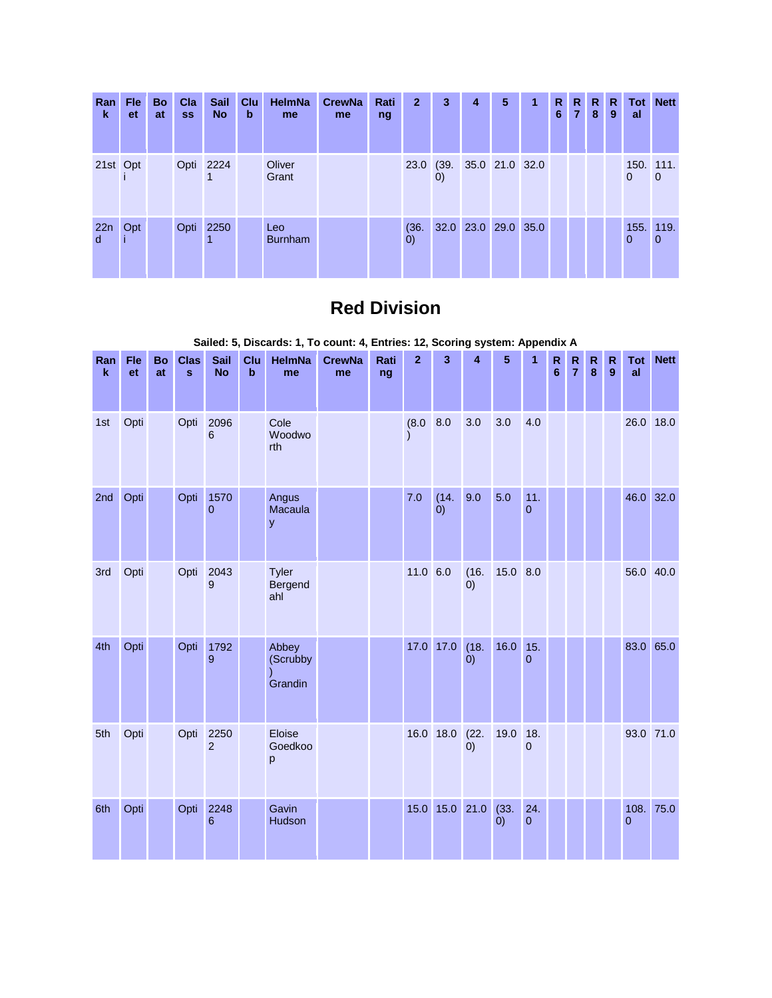| Ran<br>ĸ           | <b>Fle</b><br><b>et</b> | <b>Bo</b><br>at | Cla<br><b>SS</b> | <b>Sail</b><br><b>No</b> | Clu<br>b | <b>HelmNa</b><br>me   | <b>CrewNa</b><br>me | Rati<br>ng | $\overline{2}$            | 3                 | 4                        | 5 | 1 | R.<br>6 | $7^{\circ}$ | R R<br>8 | R.<br>9 | al             | <b>Tot Nett</b> |
|--------------------|-------------------------|-----------------|------------------|--------------------------|----------|-----------------------|---------------------|------------|---------------------------|-------------------|--------------------------|---|---|---------|-------------|----------|---------|----------------|-----------------|
| 21st Opt           |                         |                 |                  | Opti 2224                |          | Oliver<br>Grant       |                     |            |                           | $\left( 0\right)$ | 23.0 (39. 35.0 21.0 32.0 |   |   |         |             |          |         | 150. 111.<br>0 | $\overline{0}$  |
| 22n<br>$\mathbf d$ | Opt                     |                 |                  | Opti 2250                |          | Leo<br><b>Burnham</b> |                     |            | (36.<br>$\left( 0\right)$ |                   | 32.0 23.0 29.0 35.0      |   |   |         |             |          |         | 155. 119.<br>0 | $\overline{0}$  |

## **Red Division**

|                    |           |          |                             |                          |                    |                              | Salied. 3, Discards. 1, TO Count. 4, Entries. 12, Scoring System. Appendix A |            |                |                    |                           |             |                    |                     |                               |                   |                           |                             |                 |
|--------------------|-----------|----------|-----------------------------|--------------------------|--------------------|------------------------------|------------------------------------------------------------------------------|------------|----------------|--------------------|---------------------------|-------------|--------------------|---------------------|-------------------------------|-------------------|---------------------------|-----------------------------|-----------------|
| Ran<br>$\mathbf k$ | Fle<br>et | Bo<br>at | <b>Clas</b><br>$\mathbf{s}$ | <b>Sail</b><br><b>No</b> | Clu<br>$\mathbf b$ | <b>HelmNa</b><br>me          | <b>CrewNa</b><br>me                                                          | Rati<br>ng | $\overline{2}$ | $\overline{3}$     | $\overline{\mathbf{A}}$   | 5           | $\overline{1}$     | R<br>$6\phantom{1}$ | $\mathbf R$<br>$\overline{7}$ | $\mathsf{R}$<br>8 | ${\sf R}$<br>$\mathbf{9}$ | al                          | <b>Tot</b> Nett |
| 1st                | Opti      |          | Opti                        | 2096<br>6                |                    | Cole<br>Woodwo<br>rth        |                                                                              |            | (8.0)          | 8.0                | 3.0                       | 3.0         | 4.0                |                     |                               |                   |                           | 26.0 18.0                   |                 |
| 2nd                | Opti      |          | Opti                        | 1570<br>$\overline{0}$   |                    | Angus<br>Macaula<br>y        |                                                                              |            | 7.0            | (14.<br>$\ddot{0}$ | 9.0                       | 5.0         | 11.<br>$\mathbf 0$ |                     |                               |                   |                           | 46.0 32.0                   |                 |
| 3rd                | Opti      |          | Opti                        | 2043<br>9                |                    | Tyler<br>Bergend<br>ahl      |                                                                              |            | 11.0 6.0       |                    | (16.<br>$\left( 0\right)$ | 15.0 8.0    |                    |                     |                               |                   |                           | 56.0 40.0                   |                 |
| 4th                | Opti      |          | Opti                        | 1792<br>9                |                    | Abbey<br>(Scrubby<br>Grandin |                                                                              |            | 17.0           | 17.0               | (18.<br>$\left( 0\right)$ | 16.0        | 15.<br>$\Omega$    |                     |                               |                   |                           | 83.0 65.0                   |                 |
| 5th                | Opti      |          | Opti                        | 2250<br>$\overline{2}$   |                    | Eloise<br>Goedkoo<br>p       |                                                                              |            |                | 16.0 18.0          | (22.<br>$\dot{0}$         | 19.0        | 18.<br>$\mathbf 0$ |                     |                               |                   |                           | 93.0 71.0                   |                 |
| 6th                | Opti      |          | Opti                        | 2248<br>6                |                    | Gavin<br>Hudson              |                                                                              |            |                | 15.0 15.0 21.0     |                           | (33.<br>(0) | 24.<br>$\pmb{0}$   |                     |                               |                   |                           | 108. 75.0<br>$\overline{0}$ |                 |

**Sailed: 5, Discards: 1, To count: 4, Entries: 12, Scoring system: Appendix A**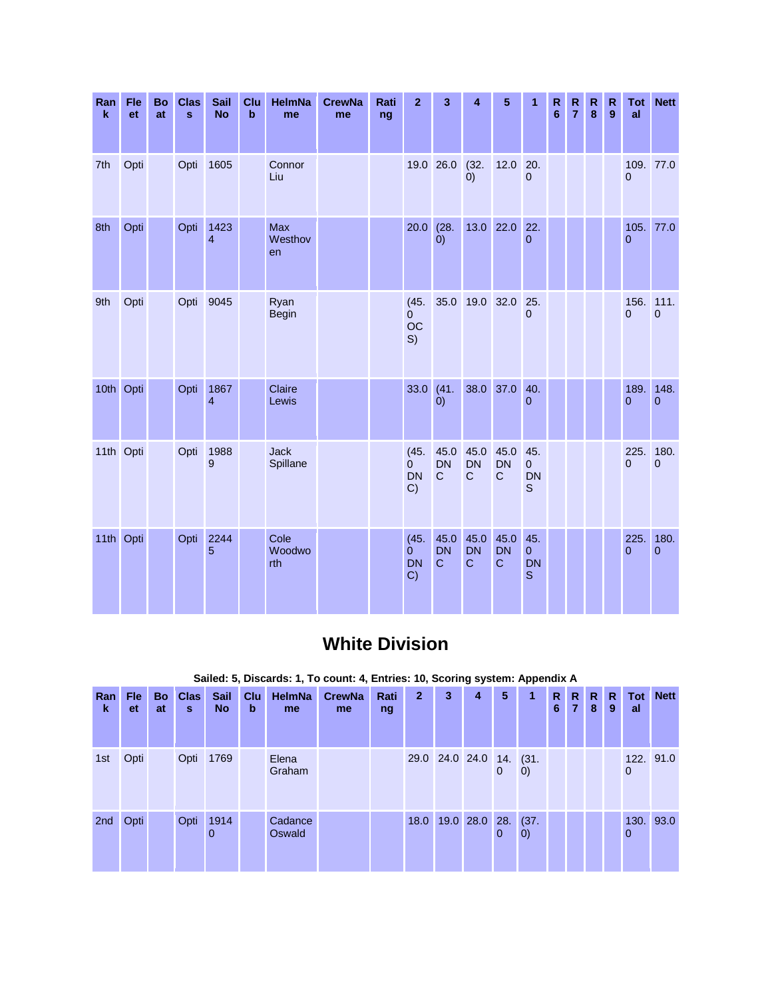| Ran<br>$\mathbf k$ | Fle<br>et | <b>Bo</b><br>at | <b>Clas</b><br>$\mathbf{s}$ | Sail<br><b>No</b>      | Clu<br>$\mathbf b$ | <b>HelmNa</b><br>me   | <b>CrewNa</b><br>me | Rati<br>ng | $\mathbf{2}$                              | 3                                 | 4                                | 5                                 | 1                                      | $\mathbb{R}$<br>$6\phantom{1}6$ | $\mathsf{R}$<br>$\overline{7}$ | $\mathsf{R}$<br>8 | $\mathbf R$<br>$\overline{9}$ | Tot<br>al        | <b>Nett</b>            |
|--------------------|-----------|-----------------|-----------------------------|------------------------|--------------------|-----------------------|---------------------|------------|-------------------------------------------|-----------------------------------|----------------------------------|-----------------------------------|----------------------------------------|---------------------------------|--------------------------------|-------------------|-------------------------------|------------------|------------------------|
| 7th                | Opti      |                 | Opti                        | 1605                   |                    | Connor<br>Liu         |                     |            |                                           | 19.0 26.0                         | (32.<br>(0)                      | 12.0                              | 20.<br>$\overline{0}$                  |                                 |                                |                   |                               | $\Omega$         | 109. 77.0              |
| 8th                | Opti      |                 | Opti                        | 1423<br>$\overline{4}$ |                    | Max<br>Westhov<br>en  |                     |            | 20.0                                      | (28.<br>$\ddot{0}$                |                                  | 13.0 22.0                         | 22.<br>$\Omega$                        |                                 |                                |                   |                               | 105.<br>$\Omega$ | 77.0                   |
| 9th                | Opti      |                 |                             | Opti 9045              |                    | Ryan<br><b>Begin</b>  |                     |            | (45.<br>$\Omega$<br>OC<br>S)              | 35.0                              | 19.0 32.0                        |                                   | 25.<br>$\overline{0}$                  |                                 |                                |                   |                               | 156.<br>$\Omega$ | 111.<br>$\mathbf 0$    |
|                    | 10th Opti |                 | Opti                        | 1867<br>$\overline{4}$ |                    | Claire<br>Lewis       |                     |            | 33.0                                      | (41.<br>(0)                       |                                  | 38.0 37.0                         | 40.<br>$\Omega$                        |                                 |                                |                   |                               | 189.<br>$\Omega$ | 148.<br>$\overline{0}$ |
| 11th Opti          |           |                 | Opti                        | 1988<br>9              |                    | Jack<br>Spillane      |                     |            | (45.<br>$\Omega$<br><b>DN</b><br>C)       | 45.0<br><b>DN</b><br>$\mathbf C$  | 45.0<br><b>DN</b><br>$\mathbf C$ | 45.0<br><b>DN</b><br>C            | 45.<br>$\mathbf 0$<br><b>DN</b><br>S   |                                 |                                |                   |                               | 225.<br>$\Omega$ | 180.<br>$\mathbf{0}$   |
|                    | 11th Opti |                 | Opti                        | 2244<br>5              |                    | Cole<br>Woodwo<br>rth |                     |            | (45.<br>$\overline{0}$<br><b>DN</b><br>C) | 45.0<br><b>DN</b><br>$\mathbf{C}$ | 45.0<br><b>DN</b><br>$\mathbf C$ | 45.0<br><b>DN</b><br>$\mathsf{C}$ | 45.<br>$\pmb{0}$<br>DN<br>$\mathsf{S}$ |                                 |                                |                   |                               | 225.<br>$\Omega$ | 180.<br>$\mathbf 0$    |

## **White Division**

**Sailed: 5, Discards: 1, To count: 4, Entries: 10, Scoring system: Appendix A**

| Ran<br>k | Fle<br>et | <b>Bo</b><br>at | <b>Clas</b><br>s | <b>Sail</b><br><b>No</b> | Clu<br>b | <b>HelmNa</b><br>me | <b>CrewNa</b><br>me | Rati<br>ng | $\mathbf{2}$ | 3 | 4                       | 5            | 1                         | R.<br>6 | R.<br>7 | $\mathbb{R}$<br>8 | R.<br>9 | Tot  <br>al | <b>Nett</b> |
|----------|-----------|-----------------|------------------|--------------------------|----------|---------------------|---------------------|------------|--------------|---|-------------------------|--------------|---------------------------|---------|---------|-------------------|---------|-------------|-------------|
| 1st      | Opti      |                 | Opti             | 1769                     |          | Elena<br>Graham     |                     |            |              |   | 29.0 24.0 24.0 14. (31. | $\mathbf{0}$ | $\left( 0\right)$         |         |         |                   |         | $\mathbf 0$ | 122. 91.0   |
| 2nd      | Opti      |                 | Opti             | 1914<br>$\Omega$         |          | Cadance<br>Oswald   |                     |            | 18.0         |   | 19.0 28.0 28.           | 0            | (37.<br>$\left( 0\right)$ |         |         |                   |         | 0           | 130. 93.0   |